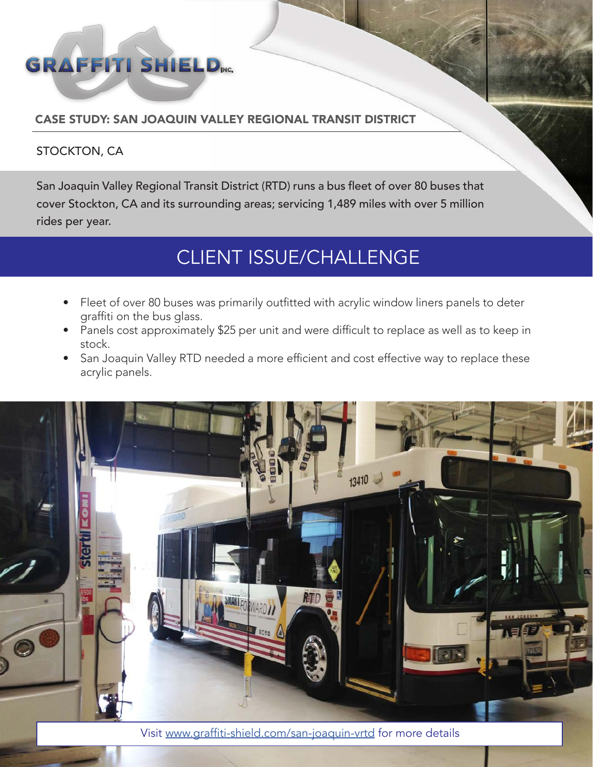

### CASE STUDY: SAN JOAQUIN VALLEY REGIONAL TRANSIT DISTRICT

#### STOCKTON, CA

San Joaquin Valley Regional Transit District (RTD) runs a bus fleet of over 80 buses that cover Stockton, CA and its surrounding areas; servicing 1,489 miles with over 5 million rides per year.

## CLIENT ISSUE/CHALLENGE

- Fleet of over 80 buses was primarily outfitted with acrylic window liners panels to deter graffiti on the bus glass.
- Panels cost approximately \$25 per unit and were difficult to replace as well as to keep in stock.
- San Joaquin Valley RTD needed a more efficient and cost effective way to replace these acrylic panels.



Visit www.graffiti-shield.com/san-joaquin-vrtd for more details